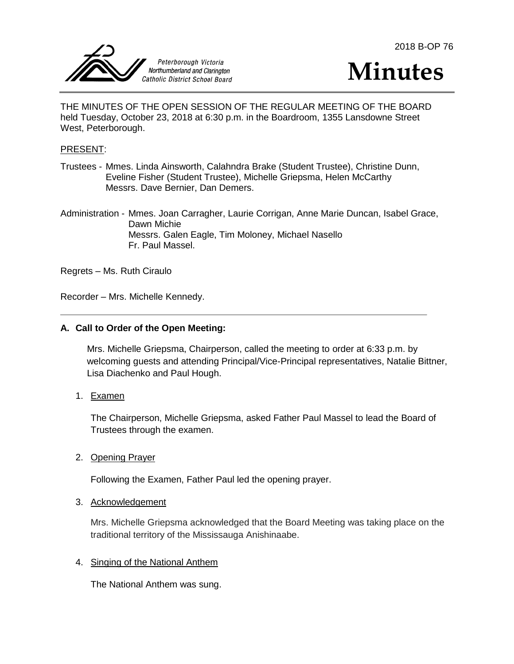





THE MINUTES OF THE OPEN SESSION OF THE REGULAR MEETING OF THE BOARD held Tuesday, October 23, 2018 at 6:30 p.m. in the Boardroom, 1355 Lansdowne Street West, Peterborough.

#### PRESENT:

Trustees - Mmes. Linda Ainsworth, Calahndra Brake (Student Trustee), Christine Dunn, Eveline Fisher (Student Trustee), Michelle Griepsma, Helen McCarthy Messrs. Dave Bernier, Dan Demers.

Administration - Mmes. Joan Carragher, Laurie Corrigan, Anne Marie Duncan, Isabel Grace, Dawn Michie Messrs. Galen Eagle, Tim Moloney, Michael Nasello Fr. Paul Massel.

Regrets – Ms. Ruth Ciraulo

Recorder – Mrs. Michelle Kennedy.

#### **A. Call to Order of the Open Meeting:**

Mrs. Michelle Griepsma, Chairperson, called the meeting to order at 6:33 p.m. by welcoming guests and attending Principal/Vice-Principal representatives, Natalie Bittner, Lisa Diachenko and Paul Hough.

1. Examen

The Chairperson, Michelle Griepsma, asked Father Paul Massel to lead the Board of Trustees through the examen.

2. Opening Prayer

Following the Examen, Father Paul led the opening prayer.

#### 3. Acknowledgement

Mrs. Michelle Griepsma acknowledged that the Board Meeting was taking place on the traditional territory of the Mississauga Anishinaabe.

#### 4. Singing of the National Anthem

The National Anthem was sung.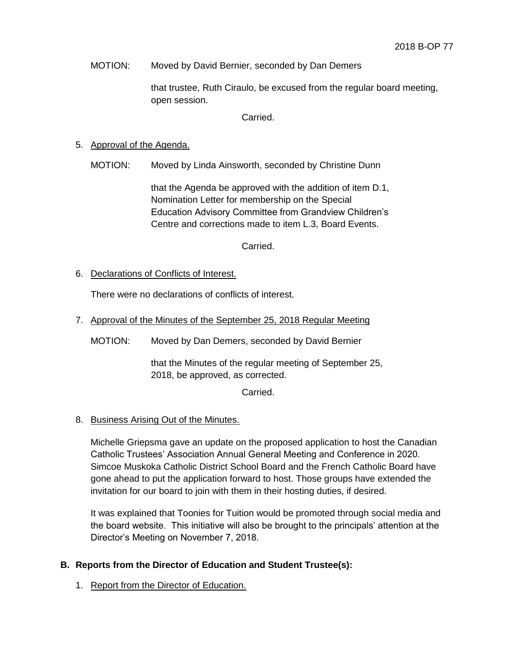MOTION: Moved by David Bernier, seconded by Dan Demers

that trustee, Ruth Ciraulo, be excused from the regular board meeting, open session.

Carried.

# 5. Approval of the Agenda.

MOTION: Moved by Linda Ainsworth, seconded by Christine Dunn

that the Agenda be approved with the addition of item D.1, Nomination Letter for membership on the Special Education Advisory Committee from Grandview Children's Centre and corrections made to item L.3, Board Events.

Carried.

6. Declarations of Conflicts of Interest.

There were no declarations of conflicts of interest.

- 7. Approval of the Minutes of the September 25, 2018 Regular Meeting
	- MOTION: Moved by Dan Demers, seconded by David Bernier

that the Minutes of the regular meeting of September 25, 2018, be approved, as corrected.

Carried.

## 8. Business Arising Out of the Minutes.

Michelle Griepsma gave an update on the proposed application to host the Canadian Catholic Trustees' Association Annual General Meeting and Conference in 2020. Simcoe Muskoka Catholic District School Board and the French Catholic Board have gone ahead to put the application forward to host. Those groups have extended the invitation for our board to join with them in their hosting duties, if desired.

It was explained that Toonies for Tuition would be promoted through social media and the board website. This initiative will also be brought to the principals' attention at the Director's Meeting on November 7, 2018.

## **B. Reports from the Director of Education and Student Trustee(s):**

1. Report from the Director of Education.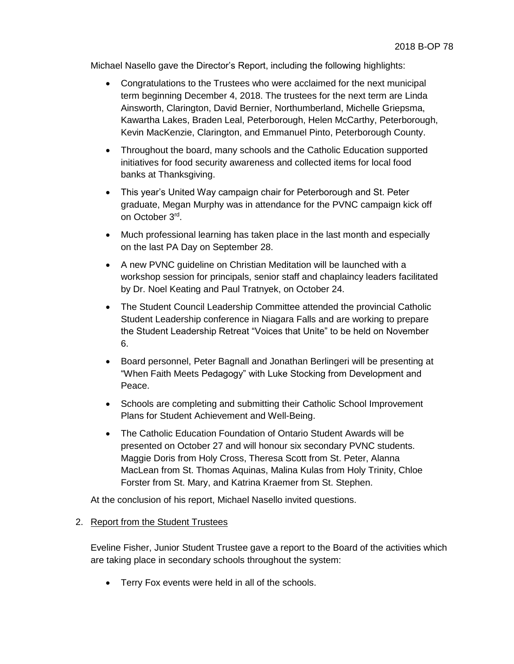Michael Nasello gave the Director's Report, including the following highlights:

- Congratulations to the Trustees who were acclaimed for the next municipal term beginning December 4, 2018. The trustees for the next term are Linda Ainsworth, Clarington, David Bernier, Northumberland, Michelle Griepsma, Kawartha Lakes, Braden Leal, Peterborough, Helen McCarthy, Peterborough, Kevin MacKenzie, Clarington, and Emmanuel Pinto, Peterborough County.
- Throughout the board, many schools and the Catholic Education supported initiatives for food security awareness and collected items for local food banks at Thanksgiving.
- This year's United Way campaign chair for Peterborough and St. Peter graduate, Megan Murphy was in attendance for the PVNC campaign kick off on October 3rd .
- Much professional learning has taken place in the last month and especially on the last PA Day on September 28.
- A new PVNC guideline on Christian Meditation will be launched with a workshop session for principals, senior staff and chaplaincy leaders facilitated by Dr. Noel Keating and Paul Tratnyek, on October 24.
- The Student Council Leadership Committee attended the provincial Catholic Student Leadership conference in Niagara Falls and are working to prepare the Student Leadership Retreat "Voices that Unite" to be held on November 6.
- Board personnel, Peter Bagnall and Jonathan Berlingeri will be presenting at "When Faith Meets Pedagogy" with Luke Stocking from Development and Peace.
- Schools are completing and submitting their Catholic School Improvement Plans for Student Achievement and Well-Being.
- The Catholic Education Foundation of Ontario Student Awards will be presented on October 27 and will honour six secondary PVNC students. Maggie Doris from Holy Cross, Theresa Scott from St. Peter, Alanna MacLean from St. Thomas Aquinas, Malina Kulas from Holy Trinity, Chloe Forster from St. Mary, and Katrina Kraemer from St. Stephen.

At the conclusion of his report, Michael Nasello invited questions.

## 2. Report from the Student Trustees

Eveline Fisher, Junior Student Trustee gave a report to the Board of the activities which are taking place in secondary schools throughout the system:

• Terry Fox events were held in all of the schools.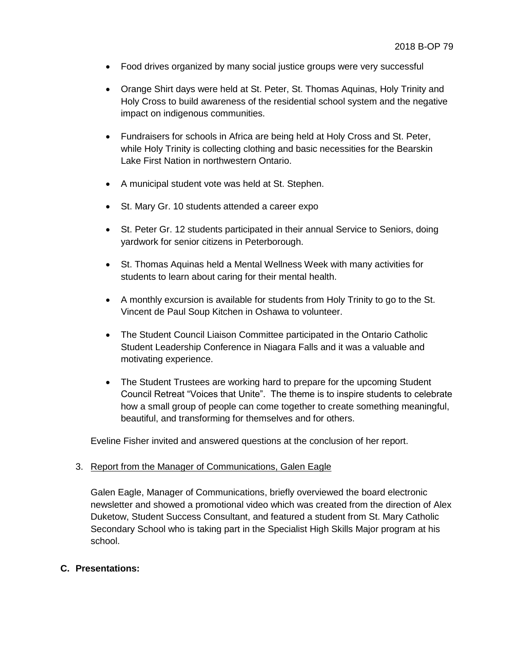- Food drives organized by many social justice groups were very successful
- Orange Shirt days were held at St. Peter, St. Thomas Aquinas, Holy Trinity and Holy Cross to build awareness of the residential school system and the negative impact on indigenous communities.
- Fundraisers for schools in Africa are being held at Holy Cross and St. Peter, while Holy Trinity is collecting clothing and basic necessities for the Bearskin Lake First Nation in northwestern Ontario.
- A municipal student vote was held at St. Stephen.
- St. Mary Gr. 10 students attended a career expo
- St. Peter Gr. 12 students participated in their annual Service to Seniors, doing yardwork for senior citizens in Peterborough.
- St. Thomas Aquinas held a Mental Wellness Week with many activities for students to learn about caring for their mental health.
- A monthly excursion is available for students from Holy Trinity to go to the St. Vincent de Paul Soup Kitchen in Oshawa to volunteer.
- The Student Council Liaison Committee participated in the Ontario Catholic Student Leadership Conference in Niagara Falls and it was a valuable and motivating experience.
- The Student Trustees are working hard to prepare for the upcoming Student Council Retreat "Voices that Unite". The theme is to inspire students to celebrate how a small group of people can come together to create something meaningful, beautiful, and transforming for themselves and for others.

Eveline Fisher invited and answered questions at the conclusion of her report.

#### 3. Report from the Manager of Communications, Galen Eagle

Galen Eagle, Manager of Communications, briefly overviewed the board electronic newsletter and showed a promotional video which was created from the direction of Alex Duketow, Student Success Consultant, and featured a student from St. Mary Catholic Secondary School who is taking part in the Specialist High Skills Major program at his school.

#### **C. Presentations:**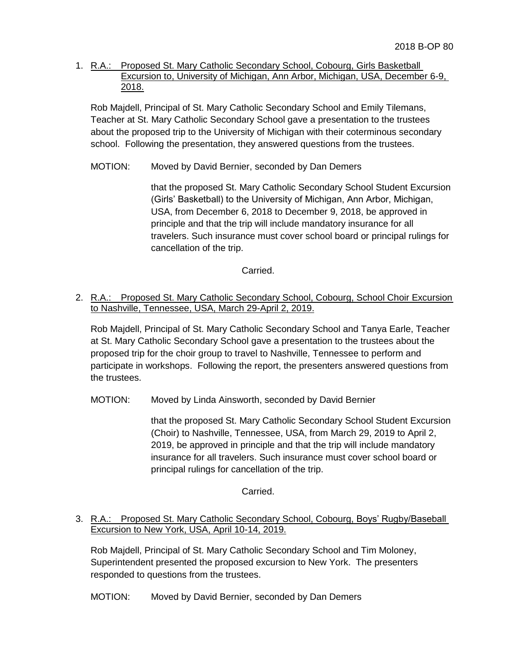1. R.A.: Proposed St. Mary Catholic Secondary School, Cobourg, Girls Basketball Excursion to, University of Michigan, Ann Arbor, Michigan, USA, December 6-9, 2018.

Rob Majdell, Principal of St. Mary Catholic Secondary School and Emily Tilemans, Teacher at St. Mary Catholic Secondary School gave a presentation to the trustees about the proposed trip to the University of Michigan with their coterminous secondary school. Following the presentation, they answered questions from the trustees.

## MOTION: Moved by David Bernier, seconded by Dan Demers

that the proposed St. Mary Catholic Secondary School Student Excursion (Girls' Basketball) to the University of Michigan, Ann Arbor, Michigan, USA, from December 6, 2018 to December 9, 2018, be approved in principle and that the trip will include mandatory insurance for all travelers. Such insurance must cover school board or principal rulings for cancellation of the trip.

## Carried.

# 2. R.A.: Proposed St. Mary Catholic Secondary School, Cobourg, School Choir Excursion to Nashville, Tennessee, USA, March 29-April 2, 2019.

Rob Majdell, Principal of St. Mary Catholic Secondary School and Tanya Earle, Teacher at St. Mary Catholic Secondary School gave a presentation to the trustees about the proposed trip for the choir group to travel to Nashville, Tennessee to perform and participate in workshops. Following the report, the presenters answered questions from the trustees.

MOTION: Moved by Linda Ainsworth, seconded by David Bernier

that the proposed St. Mary Catholic Secondary School Student Excursion (Choir) to Nashville, Tennessee, USA, from March 29, 2019 to April 2, 2019, be approved in principle and that the trip will include mandatory insurance for all travelers. Such insurance must cover school board or principal rulings for cancellation of the trip.

Carried.

## 3. R.A.: Proposed St. Mary Catholic Secondary School, Cobourg, Boys' Rugby/Baseball Excursion to New York, USA, April 10-14, 2019.

Rob Majdell, Principal of St. Mary Catholic Secondary School and Tim Moloney, Superintendent presented the proposed excursion to New York. The presenters responded to questions from the trustees.

MOTION: Moved by David Bernier, seconded by Dan Demers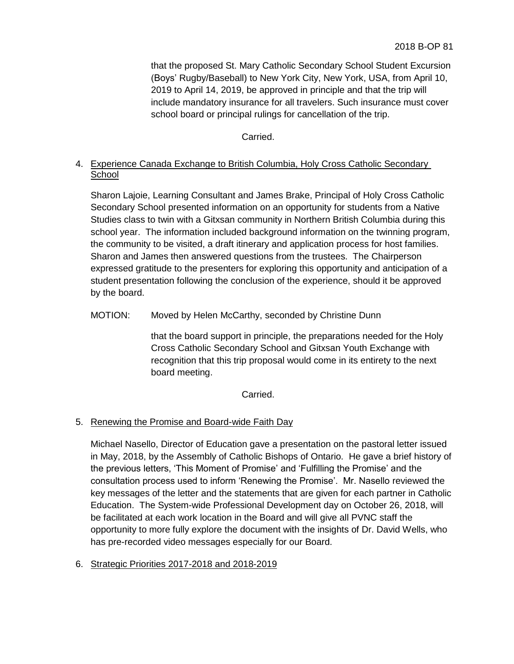that the proposed St. Mary Catholic Secondary School Student Excursion (Boys' Rugby/Baseball) to New York City, New York, USA, from April 10, 2019 to April 14, 2019, be approved in principle and that the trip will include mandatory insurance for all travelers. Such insurance must cover school board or principal rulings for cancellation of the trip.

# Carried.

# 4. Experience Canada Exchange to British Columbia, Holy Cross Catholic Secondary **School**

Sharon Lajoie, Learning Consultant and James Brake, Principal of Holy Cross Catholic Secondary School presented information on an opportunity for students from a Native Studies class to twin with a Gitxsan community in Northern British Columbia during this school year. The information included background information on the twinning program, the community to be visited, a draft itinerary and application process for host families. Sharon and James then answered questions from the trustees. The Chairperson expressed gratitude to the presenters for exploring this opportunity and anticipation of a student presentation following the conclusion of the experience, should it be approved by the board.

# MOTION: Moved by Helen McCarthy, seconded by Christine Dunn

that the board support in principle, the preparations needed for the Holy Cross Catholic Secondary School and Gitxsan Youth Exchange with recognition that this trip proposal would come in its entirety to the next board meeting.

Carried.

# 5. Renewing the Promise and Board-wide Faith Day

Michael Nasello, Director of Education gave a presentation on the pastoral letter issued in May, 2018, by the Assembly of Catholic Bishops of Ontario. He gave a brief history of the previous letters, 'This Moment of Promise' and 'Fulfilling the Promise' and the consultation process used to inform 'Renewing the Promise'. Mr. Nasello reviewed the key messages of the letter and the statements that are given for each partner in Catholic Education. The System-wide Professional Development day on October 26, 2018, will be facilitated at each work location in the Board and will give all PVNC staff the opportunity to more fully explore the document with the insights of Dr. David Wells, who has pre-recorded video messages especially for our Board.

## 6. Strategic Priorities 2017-2018 and 2018-2019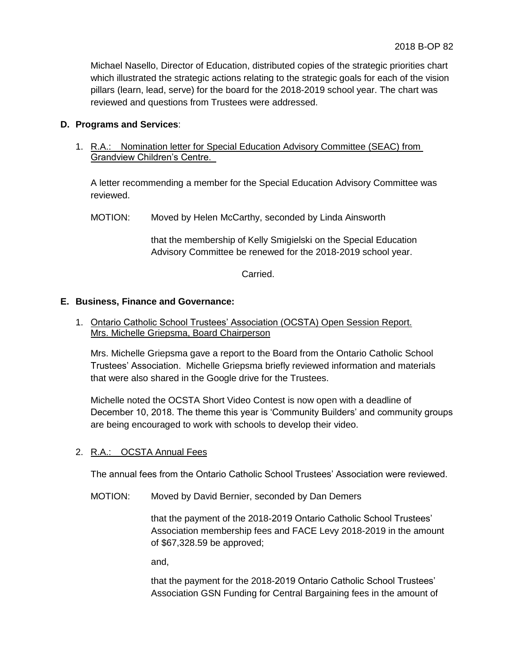Michael Nasello, Director of Education, distributed copies of the strategic priorities chart which illustrated the strategic actions relating to the strategic goals for each of the vision pillars (learn, lead, serve) for the board for the 2018-2019 school year. The chart was reviewed and questions from Trustees were addressed.

# **D. Programs and Services**:

1. R.A.: Nomination letter for Special Education Advisory Committee (SEAC) from Grandview Children's Centre.

A letter recommending a member for the Special Education Advisory Committee was reviewed.

MOTION: Moved by Helen McCarthy, seconded by Linda Ainsworth

that the membership of Kelly Smigielski on the Special Education Advisory Committee be renewed for the 2018-2019 school year.

Carried.

## **E. Business, Finance and Governance:**

1. Ontario Catholic School Trustees' Association (OCSTA) Open Session Report. Mrs. Michelle Griepsma, Board Chairperson

Mrs. Michelle Griepsma gave a report to the Board from the Ontario Catholic School Trustees' Association. Michelle Griepsma briefly reviewed information and materials that were also shared in the Google drive for the Trustees.

Michelle noted the OCSTA Short Video Contest is now open with a deadline of December 10, 2018. The theme this year is 'Community Builders' and community groups are being encouraged to work with schools to develop their video.

## 2. R.A.: OCSTA Annual Fees

The annual fees from the Ontario Catholic School Trustees' Association were reviewed.

MOTION: Moved by David Bernier, seconded by Dan Demers

that the payment of the 2018-2019 Ontario Catholic School Trustees' Association membership fees and FACE Levy 2018-2019 in the amount of \$67,328.59 be approved;

and,

that the payment for the 2018-2019 Ontario Catholic School Trustees' Association GSN Funding for Central Bargaining fees in the amount of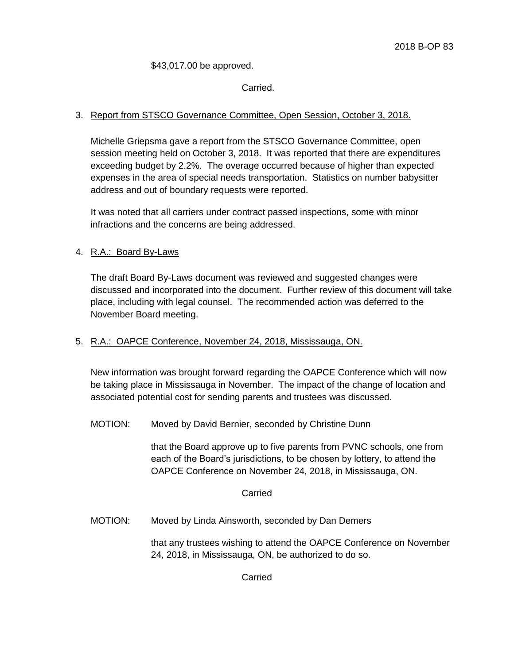#### \$43,017.00 be approved.

# Carried.

## 3. Report from STSCO Governance Committee, Open Session, October 3, 2018.

Michelle Griepsma gave a report from the STSCO Governance Committee, open session meeting held on October 3, 2018. It was reported that there are expenditures exceeding budget by 2.2%. The overage occurred because of higher than expected expenses in the area of special needs transportation. Statistics on number babysitter address and out of boundary requests were reported.

It was noted that all carriers under contract passed inspections, some with minor infractions and the concerns are being addressed.

# 4. R.A.: Board By-Laws

The draft Board By-Laws document was reviewed and suggested changes were discussed and incorporated into the document. Further review of this document will take place, including with legal counsel. The recommended action was deferred to the November Board meeting.

## 5. R.A.: OAPCE Conference, November 24, 2018, Mississauga, ON.

New information was brought forward regarding the OAPCE Conference which will now be taking place in Mississauga in November. The impact of the change of location and associated potential cost for sending parents and trustees was discussed.

MOTION: Moved by David Bernier, seconded by Christine Dunn

that the Board approve up to five parents from PVNC schools, one from each of the Board's jurisdictions, to be chosen by lottery, to attend the OAPCE Conference on November 24, 2018, in Mississauga, ON.

#### Carried

MOTION: Moved by Linda Ainsworth, seconded by Dan Demers

that any trustees wishing to attend the OAPCE Conference on November 24, 2018, in Mississauga, ON, be authorized to do so.

Carried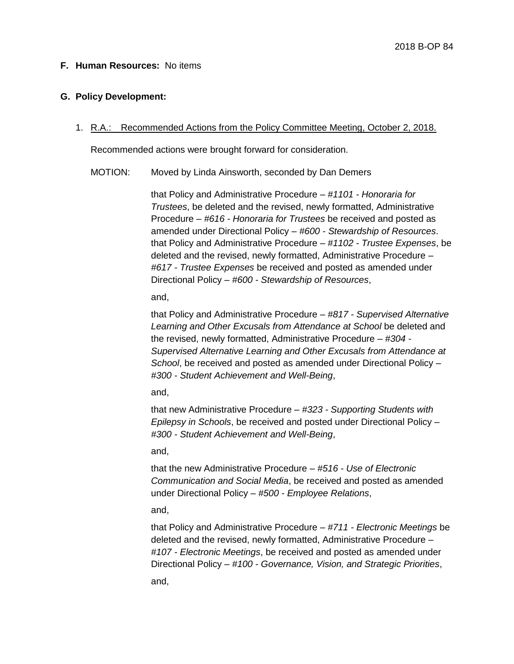## **F. Human Resources:** No items

#### **G. Policy Development:**

#### 1. R.A.: Recommended Actions from the Policy Committee Meeting, October 2, 2018.

Recommended actions were brought forward for consideration.

#### MOTION: Moved by Linda Ainsworth, seconded by Dan Demers

that Policy and Administrative Procedure – *#1101 - Honoraria for Trustees*, be deleted and the revised, newly formatted, Administrative Procedure – *#616 - Honoraria for Trustees* be received and posted as amended under Directional Policy – *#600 - Stewardship of Resources*. that Policy and Administrative Procedure – *#1102 - Trustee Expenses*, be deleted and the revised, newly formatted, Administrative Procedure – *#617 - Trustee Expenses* be received and posted as amended under Directional Policy – *#600 - Stewardship of Resources*,

and,

that Policy and Administrative Procedure – *#817 - Supervised Alternative Learning and Other Excusals from Attendance at School* be deleted and the revised, newly formatted, Administrative Procedure – *#304 - Supervised Alternative Learning and Other Excusals from Attendance at School*, be received and posted as amended under Directional Policy – *#300 - Student Achievement and Well-Being*,

#### and,

that new Administrative Procedure – *#323 - Supporting Students with Epilepsy in Schools*, be received and posted under Directional Policy – *#300 - Student Achievement and Well-Being*,

and,

that the new Administrative Procedure – *#516 - Use of Electronic Communication and Social Media*, be received and posted as amended under Directional Policy – *#500 - Employee Relations*,

and,

that Policy and Administrative Procedure – *#711 - Electronic Meetings* be deleted and the revised, newly formatted, Administrative Procedure – *#107 - Electronic Meetings*, be received and posted as amended under Directional Policy – *#100 - Governance, Vision, and Strategic Priorities*, and,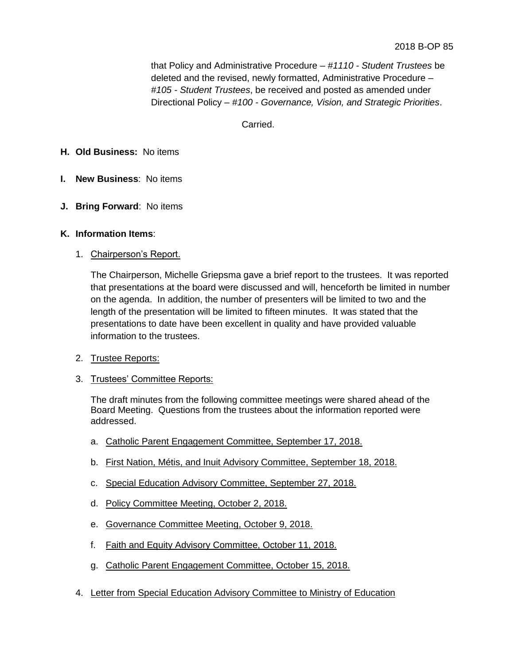that Policy and Administrative Procedure – *#1110 - Student Trustees* be deleted and the revised, newly formatted, Administrative Procedure – *#105 - Student Trustees*, be received and posted as amended under Directional Policy – *#100 - Governance, Vision, and Strategic Priorities*.

# Carried.

#### **H. Old Business:** No items

- **I. New Business**: No items
- **J. Bring Forward**: No items

#### **K. Information Items**:

1. Chairperson's Report.

The Chairperson, Michelle Griepsma gave a brief report to the trustees. It was reported that presentations at the board were discussed and will, henceforth be limited in number on the agenda. In addition, the number of presenters will be limited to two and the length of the presentation will be limited to fifteen minutes. It was stated that the presentations to date have been excellent in quality and have provided valuable information to the trustees.

- 2. Trustee Reports:
- 3. Trustees' Committee Reports:

The draft minutes from the following committee meetings were shared ahead of the Board Meeting. Questions from the trustees about the information reported were addressed.

- a. Catholic Parent Engagement Committee, September 17, 2018.
- b. First Nation, Métis, and Inuit Advisory Committee, September 18, 2018.
- c. Special Education Advisory Committee, September 27, 2018.
- d. Policy Committee Meeting, October 2, 2018.
- e. Governance Committee Meeting, October 9, 2018.
- f. Faith and Equity Advisory Committee, October 11, 2018.
- g. Catholic Parent Engagement Committee, October 15, 2018.
- 4. Letter from Special Education Advisory Committee to Ministry of Education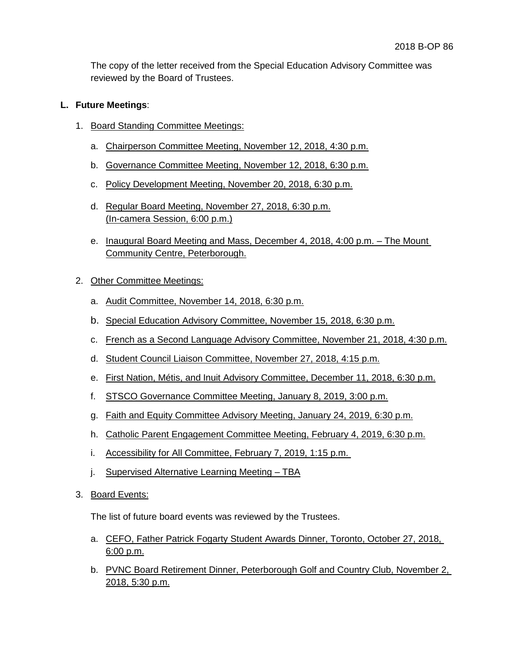The copy of the letter received from the Special Education Advisory Committee was reviewed by the Board of Trustees.

## **L. Future Meetings**:

- 1. Board Standing Committee Meetings:
	- a. Chairperson Committee Meeting, November 12, 2018, 4:30 p.m.
	- b. Governance Committee Meeting, November 12, 2018, 6:30 p.m.
	- c. Policy Development Meeting, November 20, 2018, 6:30 p.m.
	- d. Regular Board Meeting, November 27, 2018, 6:30 p.m. (In-camera Session, 6:00 p.m.)
	- e. Inaugural Board Meeting and Mass, December 4, 2018, 4:00 p.m. The Mount Community Centre, Peterborough.
- 2. Other Committee Meetings:
	- a. Audit Committee, November 14, 2018, 6:30 p.m.
	- b. Special Education Advisory Committee, November 15, 2018, 6:30 p.m.
	- c. French as a Second Language Advisory Committee, November 21, 2018, 4:30 p.m.
	- d. Student Council Liaison Committee, November 27, 2018, 4:15 p.m.
	- e. First Nation, Métis, and Inuit Advisory Committee, December 11, 2018, 6:30 p.m.
	- f. STSCO Governance Committee Meeting, January 8, 2019, 3:00 p.m.
	- g. Faith and Equity Committee Advisory Meeting, January 24, 2019, 6:30 p.m.
	- h. Catholic Parent Engagement Committee Meeting, February 4, 2019, 6:30 p.m.
	- i. Accessibility for All Committee, February 7, 2019, 1:15 p.m.
	- j. Supervised Alternative Learning Meeting TBA
- 3. Board Events:

The list of future board events was reviewed by the Trustees.

- a. CEFO, Father Patrick Fogarty Student Awards Dinner, Toronto, October 27, 2018, 6:00 p.m.
- b. PVNC Board Retirement Dinner, Peterborough Golf and Country Club, November 2, 2018, 5:30 p.m.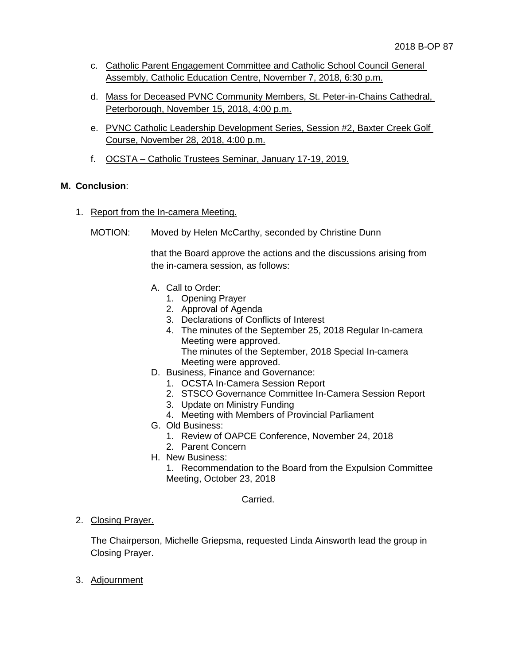- c. Catholic Parent Engagement Committee and Catholic School Council General Assembly, Catholic Education Centre, November 7, 2018, 6:30 p.m.
- d. Mass for Deceased PVNC Community Members, St. Peter-in-Chains Cathedral, Peterborough, November 15, 2018, 4:00 p.m.
- e. PVNC Catholic Leadership Development Series, Session #2, Baxter Creek Golf Course, November 28, 2018, 4:00 p.m.
- f. OCSTA Catholic Trustees Seminar, January 17-19, 2019.

# **M. Conclusion**:

- 1. Report from the In-camera Meeting.
	- MOTION: Moved by Helen McCarthy, seconded by Christine Dunn

that the Board approve the actions and the discussions arising from the in-camera session, as follows:

- A. Call to Order:
	- 1. Opening Prayer
	- 2. Approval of Agenda
	- 3. Declarations of Conflicts of Interest
	- 4. The minutes of the September 25, 2018 Regular In-camera Meeting were approved. The minutes of the September, 2018 Special In-camera Meeting were approved.
- D. Business, Finance and Governance:
	- 1. OCSTA In-Camera Session Report
	- 2. STSCO Governance Committee In-Camera Session Report
	- 3. Update on Ministry Funding
	- 4. Meeting with Members of Provincial Parliament
- G. Old Business:
	- 1. Review of OAPCE Conference, November 24, 2018
	- 2. Parent Concern
- H. New Business:
	- 1. Recommendation to the Board from the Expulsion Committee Meeting, October 23, 2018

#### Carried.

## 2. Closing Prayer.

The Chairperson, Michelle Griepsma, requested Linda Ainsworth lead the group in Closing Prayer.

3. Adjournment